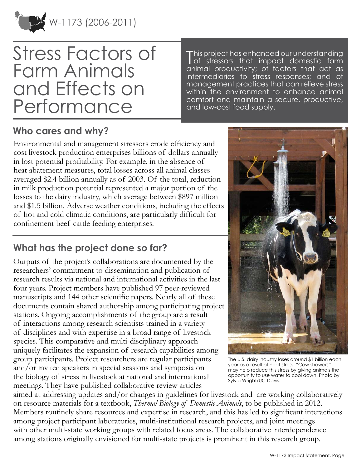

# Stress Factors of Farm Animals and Effects on Performance

This project has enhanced our understanding<br>of stressors that impact domestic farm of stressors that impact domestic farm animal productivity; of factors that act as intermediaries to stress responses; and of management practices that can relieve stress within the environment to enhance animal comfort and maintain a secure, productive, and low-cost food supply.

#### **Who cares and why?**

Environmental and management stressors erode efficiency and cost livestock production enterprises billions of dollars annually in lost potential profitability. For example, in the absence of heat abatement measures, total losses across all animal classes averaged \$2.4 billion annually as of 2003. Of the total, reduction in milk production potential represented a major portion of the losses to the dairy industry, which average between \$897 million and \$1.5 billion. Adverse weather conditions, including the effects of hot and cold climatic conditions, are particularly difficult for confinement beef cattle feeding enterprises.

## **What has the project done so far?**

Outputs of the project's collaborations are documented by the researchers' commitment to dissemination and publication of research results via national and international activities in the last four years. Project members have published 97 peer-reviewed manuscripts and 144 other scientific papers. Nearly all of these documents contain shared authorship among participating project stations. Ongoing accomplishments of the group are a result of interactions among research scientists trained in a variety of disciplines and with expertise in a broad range of livestock species. This comparative and multi-disciplinary approach uniquely facilitates the expansion of research capabilities among group participants. Project researchers are regular participants and/or invited speakers in special sessions and symposia on the biology of stress in livestock at national and international meetings. They have published collaborative review articles



The U.S. dairy industry loses around \$1 billion each year as a result of heat stress. "Cow showers" may help reduce this stress by giving animals the opportunity to use water to cool down. Photo by Sylvia Wright/UC Davis.

aimed at addressing updates and/or changes in guidelines for livestock and are working collaboratively on resource materials for a textbook, *Thermal Biology of Domestic Animals*, to be published in 2012. Members routinely share resources and expertise in research, and this has led to significant interactions among project participant laboratories, multi-institutional research projects, and joint meetings with other multi-state working groups with related focus areas. The collaborative interdependence among stations originally envisioned for multi-state projects is prominent in this research group.